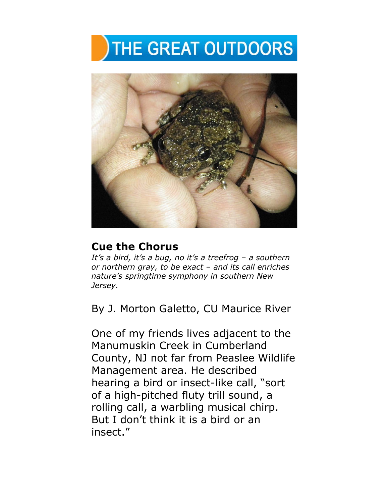## THE GREAT OUTDOORS



## **Cue the Chorus**

*It's a bird, it's a bug, no it's a treefrog – a southern or northern gray, to be exact – and its call enriches nature's springtime symphony in southern New Jersey.*

By J. Morton Galetto, CU Maurice River

One of my friends lives adjacent to the Manumuskin Creek in Cumberland County, NJ not far from Peaslee Wildlife Management area. He described hearing a bird or insect-like call, "sort of a high-pitched fluty trill sound, a rolling call, a warbling musical chirp. But I don't think it is a bird or an insect."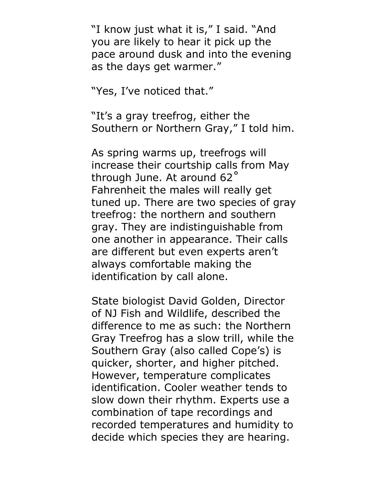"I know just what it is," I said. "And you are likely to hear it pick up the pace around dusk and into the evening as the days get warmer."

"Yes, I've noticed that."

"It's a gray treefrog, either the Southern or Northern Gray," I told him.

As spring warms up, treefrogs will increase their courtship calls from May through June. At around 62˚ Fahrenheit the males will really get tuned up. There are two species of gray treefrog: the northern and southern gray. They are indistinguishable from one another in appearance. Their calls are different but even experts aren't always comfortable making the identification by call alone.

State biologist David Golden, Director of NJ Fish and Wildlife, described the difference to me as such: the Northern Gray Treefrog has a slow trill, while the Southern Gray (also called Cope's) is quicker, shorter, and higher pitched. However, temperature complicates identification. Cooler weather tends to slow down their rhythm. Experts use a combination of tape recordings and recorded temperatures and humidity to decide which species they are hearing.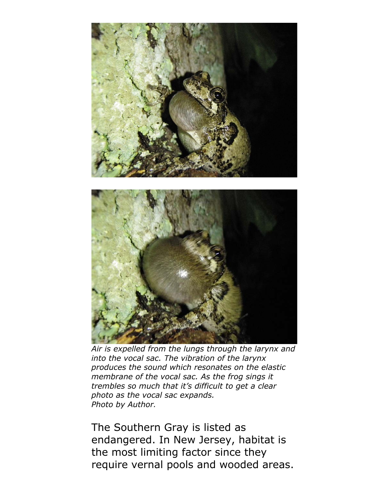



*Air is expelled from the lungs through the larynx and into the vocal sac. The vibration of the larynx produces the sound which resonates on the elastic membrane of the vocal sac. As the frog sings it trembles so much that it's difficult to get a clear photo as the vocal sac expands. Photo by Author.*

The Southern Gray is listed as endangered. In New Jersey, habitat is the most limiting factor since they require vernal pools and wooded areas.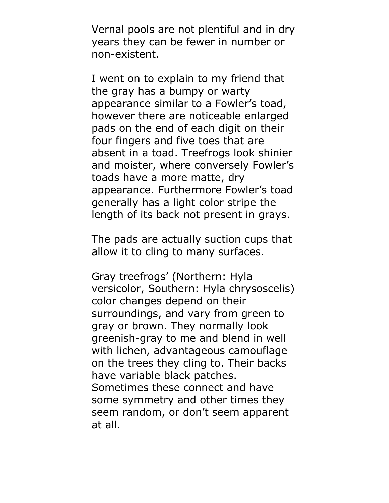Vernal pools are not plentiful and in dry years they can be fewer in number or non-existent.

I went on to explain to my friend that the gray has a bumpy or warty appearance similar to a Fowler's toad, however there are noticeable enlarged pads on the end of each digit on their four fingers and five toes that are absent in a toad. Treefrogs look shinier and moister, where conversely Fowler's toads have a more matte, dry appearance. Furthermore Fowler's toad generally has a light color stripe the length of its back not present in grays.

The pads are actually suction cups that allow it to cling to many surfaces.

Gray treefrogs' (Northern: Hyla versicolor, Southern: Hyla chrysoscelis) color changes depend on their surroundings, and vary from green to gray or brown. They normally look greenish-gray to me and blend in well with lichen, advantageous camouflage on the trees they cling to. Their backs have variable black patches. Sometimes these connect and have some symmetry and other times they seem random, or don't seem apparent at all.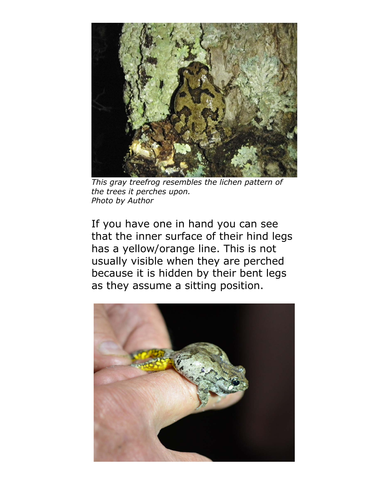

*This gray treefrog resembles the lichen pattern of the trees it perches upon. Photo by Author*

If you have one in hand you can see that the inner surface of their hind legs has a yellow/orange line. This is not usually visible when they are perched because it is hidden by their bent legs as they assume a sitting position.

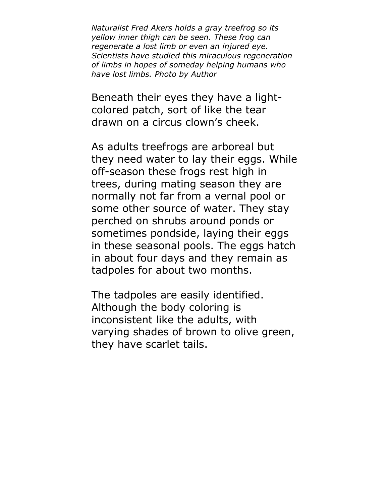*Naturalist Fred Akers holds a gray treefrog so its yellow inner thigh can be seen. These frog can regenerate a lost limb or even an injured eye. Scientists have studied this miraculous regeneration of limbs in hopes of someday helping humans who have lost limbs. Photo by Author*

Beneath their eyes they have a lightcolored patch, sort of like the tear drawn on a circus clown's cheek.

As adults treefrogs are arboreal but they need water to lay their eggs. While off-season these frogs rest high in trees, during mating season they are normally not far from a vernal pool or some other source of water. They stay perched on shrubs around ponds or sometimes pondside, laying their eggs in these seasonal pools. The eggs hatch in about four days and they remain as tadpoles for about two months.

The tadpoles are easily identified. Although the body coloring is inconsistent like the adults, with varying shades of brown to olive green, they have scarlet tails.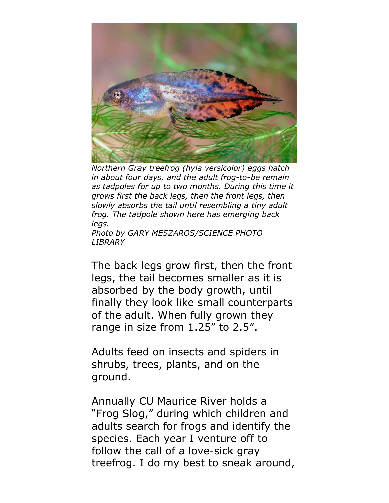

*Northern Gray treefrog (hyla versicolor) eggs hatch in about four days, and the adult frog-to-be remain as tadpoles for up to two months. During this time it grows first the back legs, then the front legs, then slowly absorbs the tail until resembling a tiny adult frog. The tadpole shown here has emerging back legs.*

*Photo by GARY MESZAROS/SCIENCE PHOTO LIBRARY* 

The back legs grow first, then the front legs, the tail becomes smaller as it is absorbed by the body growth, until finally they look like small counterparts of the adult. When fully grown they range in size from 1.25" to 2.5".

Adults feed on insects and spiders in shrubs, trees, plants, and on the ground.

Annually CU Maurice River holds a "Frog Slog," during which children and adults search for frogs and identify the species. Each year I venture off to follow the call of a love-sick gray treefrog. I do my best to sneak around,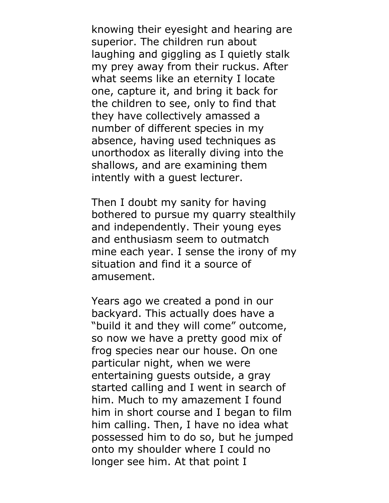knowing their eyesight and hearing are superior. The children run about laughing and giggling as I quietly stalk my prey away from their ruckus. After what seems like an eternity I locate one, capture it, and bring it back for the children to see, only to find that they have collectively amassed a number of different species in my absence, having used techniques as unorthodox as literally diving into the shallows, and are examining them intently with a guest lecturer.

Then I doubt my sanity for having bothered to pursue my quarry stealthily and independently. Their young eyes and enthusiasm seem to outmatch mine each year. I sense the irony of my situation and find it a source of amusement.

Years ago we created a pond in our backyard. This actually does have a "build it and they will come" outcome, so now we have a pretty good mix of frog species near our house. On one particular night, when we were entertaining guests outside, a gray started calling and I went in search of him. Much to my amazement I found him in short course and I began to film him calling. Then, I have no idea what possessed him to do so, but he jumped onto my shoulder where I could no longer see him. At that point I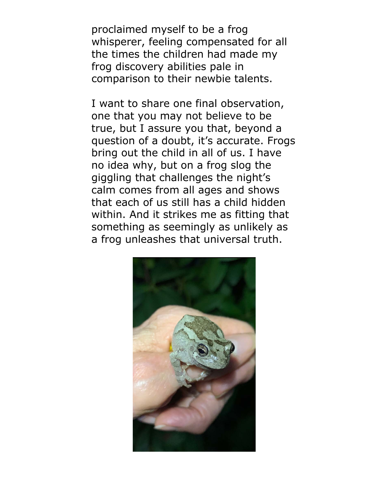proclaimed myself to be a frog whisperer, feeling compensated for all the times the children had made my frog discovery abilities pale in comparison to their newbie talents.

I want to share one final observation, one that you may not believe to be true, but I assure you that, beyond a question of a doubt, it's accurate. Frogs bring out the child in all of us. I have no idea why, but on a frog slog the giggling that challenges the night's calm comes from all ages and shows that each of us still has a child hidden within. And it strikes me as fitting that something as seemingly as unlikely as a frog unleashes that universal truth.